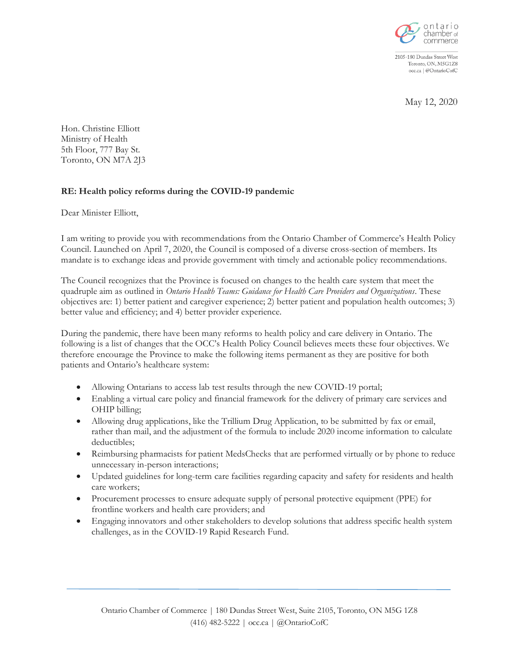

2105-180 Dundas Street West Toronto, ON, M5G1Z8 occ.ca | @OntarioCofC

May 12, 2020

Hon. Christine Elliott Ministry of Health 5th Floor, 777 Bay St. Toronto, ON M7A 2J3

## **RE: Health policy reforms during the COVID-19 pandemic**

Dear Minister Elliott,

I am writing to provide you with recommendations from the Ontario Chamber of Commerce's Health Policy Council. Launched on April 7, 2020, the Council is composed of a diverse cross-section of members. Its mandate is to exchange ideas and provide government with timely and actionable policy recommendations.

The Council recognizes that the Province is focused on changes to the health care system that meet the quadruple aim as outlined in *Ontario Health Teams: Guidance for Health Care Providers and Organizations*. These objectives are: 1) better patient and caregiver experience; 2) better patient and population health outcomes; 3) better value and efficiency; and 4) better provider experience.

During the pandemic, there have been many reforms to health policy and care delivery in Ontario. The following is a list of changes that the OCC's Health Policy Council believes meets these four objectives. We therefore encourage the Province to make the following items permanent as they are positive for both patients and Ontario's healthcare system:

- Allowing Ontarians to access lab test results through the new COVID-19 portal;
- Enabling a virtual care policy and financial framework for the delivery of primary care services and OHIP billing;
- Allowing drug applications, like the Trillium Drug Application, to be submitted by fax or email, rather than mail, and the adjustment of the formula to include 2020 income information to calculate deductibles;
- Reimbursing pharmacists for patient MedsChecks that are performed virtually or by phone to reduce unnecessary in-person interactions;
- Updated guidelines for long-term care facilities regarding capacity and safety for residents and health care workers;
- Procurement processes to ensure adequate supply of personal protective equipment (PPE) for frontline workers and health care providers; and
- Engaging innovators and other stakeholders to develop solutions that address specific health system challenges, as in the COVID-19 Rapid Research Fund.